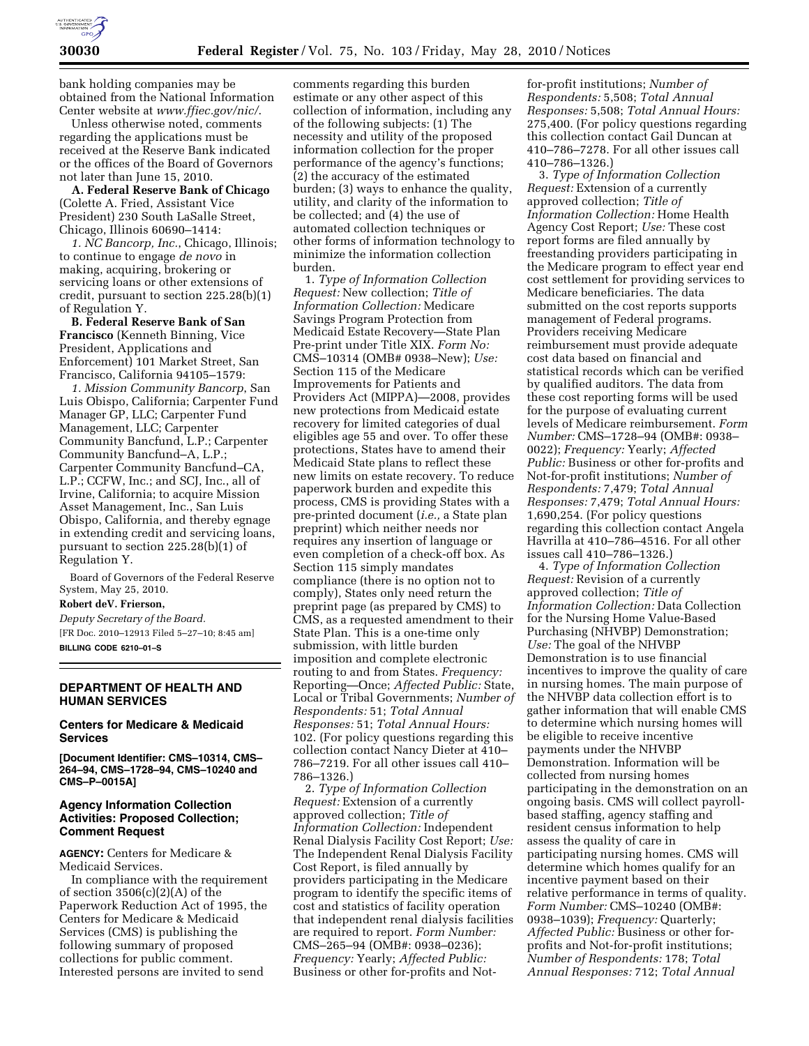

bank holding companies may be obtained from the National Information Center website at *www.ffiec.gov/nic/*.

Unless otherwise noted, comments regarding the applications must be received at the Reserve Bank indicated or the offices of the Board of Governors not later than June 15, 2010.

**A. Federal Reserve Bank of Chicago**  (Colette A. Fried, Assistant Vice President) 230 South LaSalle Street, Chicago, Illinois 60690–1414:

*1. NC Bancorp, Inc.*, Chicago, Illinois; to continue to engage *de novo* in making, acquiring, brokering or servicing loans or other extensions of credit, pursuant to section 225.28(b)(1) of Regulation Y.

**B. Federal Reserve Bank of San Francisco** (Kenneth Binning, Vice President, Applications and Enforcement) 101 Market Street, San Francisco, California 94105–1579:

*1. Mission Community Bancorp*, San Luis Obispo, California; Carpenter Fund Manager GP, LLC; Carpenter Fund Management, LLC; Carpenter Community Bancfund, L.P.; Carpenter Community Bancfund–A, L.P.; Carpenter Community Bancfund–CA, L.P.; CCFW, Inc.; and SCJ, Inc., all of Irvine, California; to acquire Mission Asset Management, Inc., San Luis Obispo, California, and thereby egnage in extending credit and servicing loans, pursuant to section 225.28(b)(1) of Regulation Y.

Board of Governors of the Federal Reserve System, May 25, 2010.

**Robert deV. Frierson,** 

*Deputy Secretary of the Board.* 

[FR Doc. 2010–12913 Filed 5–27–10; 8:45 am] **BILLING CODE 6210–01–S** 

## **DEPARTMENT OF HEALTH AND HUMAN SERVICES**

# **Centers for Medicare & Medicaid Services**

**[Document Identifier: CMS–10314, CMS– 264–94, CMS–1728–94, CMS–10240 and CMS–P–0015A]** 

## **Agency Information Collection Activities: Proposed Collection; Comment Request**

**AGENCY:** Centers for Medicare & Medicaid Services.

In compliance with the requirement of section  $3506(c)(2)(A)$  of the Paperwork Reduction Act of 1995, the Centers for Medicare & Medicaid Services (CMS) is publishing the following summary of proposed collections for public comment. Interested persons are invited to send

comments regarding this burden estimate or any other aspect of this collection of information, including any of the following subjects: (1) The necessity and utility of the proposed information collection for the proper performance of the agency's functions; (2) the accuracy of the estimated burden; (3) ways to enhance the quality, utility, and clarity of the information to be collected; and (4) the use of automated collection techniques or other forms of information technology to minimize the information collection burden.

1. *Type of Information Collection Request:* New collection; *Title of Information Collection:* Medicare Savings Program Protection from Medicaid Estate Recovery—State Plan Pre-print under Title XIX. *Form No:*  CMS–10314 (OMB# 0938–New); *Use:*  Section 115 of the Medicare Improvements for Patients and Providers Act (MIPPA)—2008, provides new protections from Medicaid estate recovery for limited categories of dual eligibles age 55 and over. To offer these protections, States have to amend their Medicaid State plans to reflect these new limits on estate recovery. To reduce paperwork burden and expedite this process, CMS is providing States with a pre-printed document (*i.e.,* a State plan preprint) which neither needs nor requires any insertion of language or even completion of a check-off box. As Section 115 simply mandates compliance (there is no option not to comply), States only need return the preprint page (as prepared by CMS) to CMS, as a requested amendment to their State Plan. This is a one-time only submission, with little burden imposition and complete electronic routing to and from States. *Frequency:*  Reporting—Once; *Affected Public:* State, Local or Tribal Governments; *Number of Respondents:* 51; *Total Annual Responses:* 51; *Total Annual Hours:*  102. (For policy questions regarding this collection contact Nancy Dieter at 410– 786–7219. For all other issues call 410– 786–1326.)

2. *Type of Information Collection Request:* Extension of a currently approved collection; *Title of Information Collection:* Independent Renal Dialysis Facility Cost Report; *Use:*  The Independent Renal Dialysis Facility Cost Report, is filed annually by providers participating in the Medicare program to identify the specific items of cost and statistics of facility operation that independent renal dialysis facilities are required to report. *Form Number:*  CMS–265–94 (OMB#: 0938–0236); *Frequency:* Yearly; *Affected Public:*  Business or other for-profits and Notfor-profit institutions; *Number of Respondents:* 5,508; *Total Annual Responses:* 5,508; *Total Annual Hours:*  275,400. (For policy questions regarding this collection contact Gail Duncan at 410–786–7278. For all other issues call 410–786–1326.)

3. *Type of Information Collection Request:* Extension of a currently approved collection; *Title of Information Collection:* Home Health Agency Cost Report; *Use:* These cost report forms are filed annually by freestanding providers participating in the Medicare program to effect year end cost settlement for providing services to Medicare beneficiaries. The data submitted on the cost reports supports management of Federal programs. Providers receiving Medicare reimbursement must provide adequate cost data based on financial and statistical records which can be verified by qualified auditors. The data from these cost reporting forms will be used for the purpose of evaluating current levels of Medicare reimbursement. *Form Number:* CMS–1728–94 (OMB#: 0938– 0022); *Frequency:* Yearly; *Affected Public:* Business or other for-profits and Not-for-profit institutions; *Number of Respondents:* 7,479; *Total Annual Responses:* 7,479; *Total Annual Hours:*  1,690,254. (For policy questions regarding this collection contact Angela Havrilla at 410–786–4516. For all other issues call 410–786–1326.)

4. *Type of Information Collection Request:* Revision of a currently approved collection; *Title of Information Collection:* Data Collection for the Nursing Home Value-Based Purchasing (NHVBP) Demonstration; *Use:* The goal of the NHVBP Demonstration is to use financial incentives to improve the quality of care in nursing homes. The main purpose of the NHVBP data collection effort is to gather information that will enable CMS to determine which nursing homes will be eligible to receive incentive payments under the NHVBP Demonstration. Information will be collected from nursing homes participating in the demonstration on an ongoing basis. CMS will collect payrollbased staffing, agency staffing and resident census information to help assess the quality of care in participating nursing homes. CMS will determine which homes qualify for an incentive payment based on their relative performance in terms of quality. *Form Number:* CMS–10240 (OMB#: 0938–1039); *Frequency:* Quarterly; *Affected Public:* Business or other forprofits and Not-for-profit institutions; *Number of Respondents:* 178; *Total Annual Responses:* 712; *Total Annual*